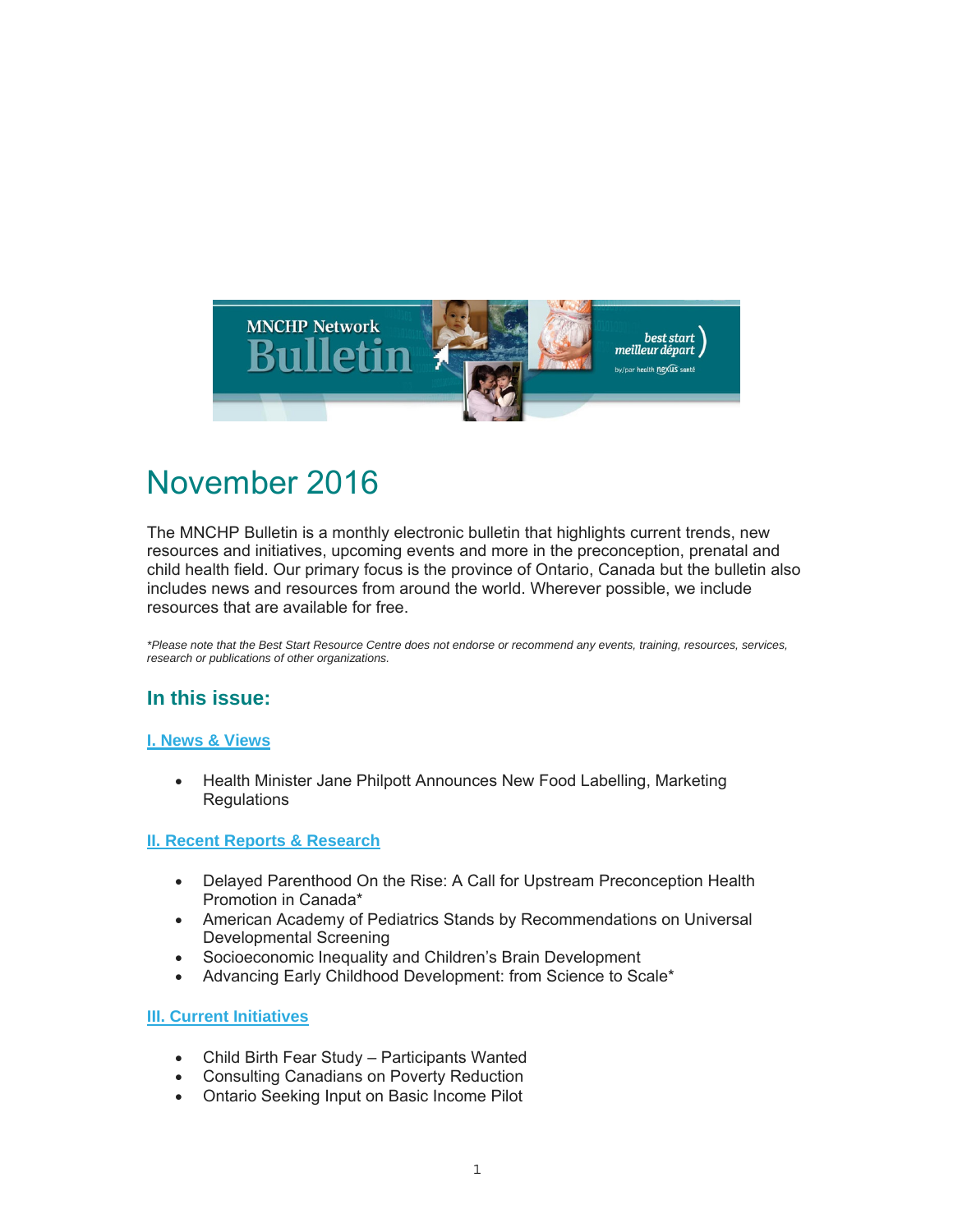

# November 2016

The MNCHP Bulletin is a monthly electronic bulletin that highlights current trends, new resources and initiatives, upcoming events and more in the preconception, prenatal and child health field. Our primary focus is the province of Ontario, Canada but the bulletin also includes news and resources from around the world. Wherever possible, we include resources that are available for free.

*\*Please note that the Best Start Resource Centre does not endorse or recommend any events, training, resources, services, research or publications of other organizations.*

### **In this issue:**

#### **I. News & Views**

• Health Minister Jane Philpott Announces New Food Labelling, Marketing **Regulations** 

#### **II. Recent Reports & Research**

- Delayed Parenthood On the Rise: A Call for Upstream Preconception Health Promotion in Canada\*
- American Academy of Pediatrics Stands by Recommendations on Universal Developmental Screening
- Socioeconomic Inequality and Children's Brain Development
- Advancing Early Childhood Development: from Science to Scale\*

#### **III. Current Initiatives**

- Child Birth Fear Study Participants Wanted
- Consulting Canadians on Poverty Reduction
- Ontario Seeking Input on Basic Income Pilot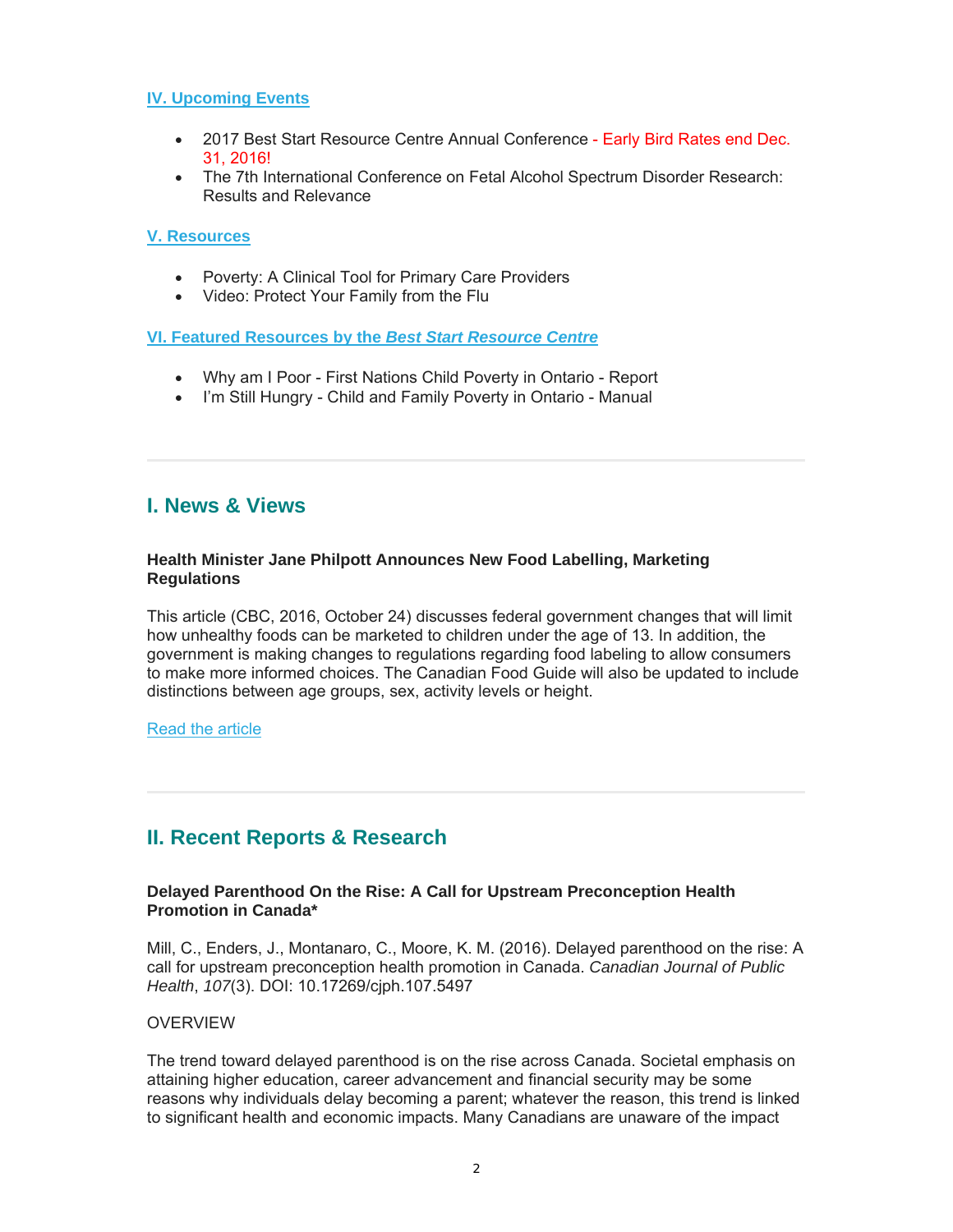#### **IV. Upcoming Events**

- 2017 Best Start Resource Centre Annual Conference Early Bird Rates end Dec. 31, 2016!
- The 7th International Conference on Fetal Alcohol Spectrum Disorder Research: Results and Relevance

#### **V. Resources**

- Poverty: A Clinical Tool for Primary Care Providers
- Video: Protect Your Family from the Flu

#### **VI. Featured Resources by the** *Best Start Resource Centre*

- Why am I Poor First Nations Child Poverty in Ontario Report
- I'm Still Hungry Child and Family Poverty in Ontario Manual

### **I. News & Views**

#### **Health Minister Jane Philpott Announces New Food Labelling, Marketing Regulations**

This article (CBC, 2016, October 24) discusses federal government changes that will limit how unhealthy foods can be marketed to children under the age of 13. In addition, the government is making changes to regulations regarding food labeling to allow consumers to make more informed choices. The Canadian Food Guide will also be updated to include distinctions between age groups, sex, activity levels or height.

#### Read the article

### **II. Recent Reports & Research**

#### **Delayed Parenthood On the Rise: A Call for Upstream Preconception Health Promotion in Canada\***

Mill, C., Enders, J., Montanaro, C., Moore, K. M. (2016). Delayed parenthood on the rise: A call for upstream preconception health promotion in Canada. *Canadian Journal of Public Health*, *107*(3). DOI: 10.17269/cjph.107.5497

#### OVERVIEW

The trend toward delayed parenthood is on the rise across Canada. Societal emphasis on attaining higher education, career advancement and financial security may be some reasons why individuals delay becoming a parent; whatever the reason, this trend is linked to significant health and economic impacts. Many Canadians are unaware of the impact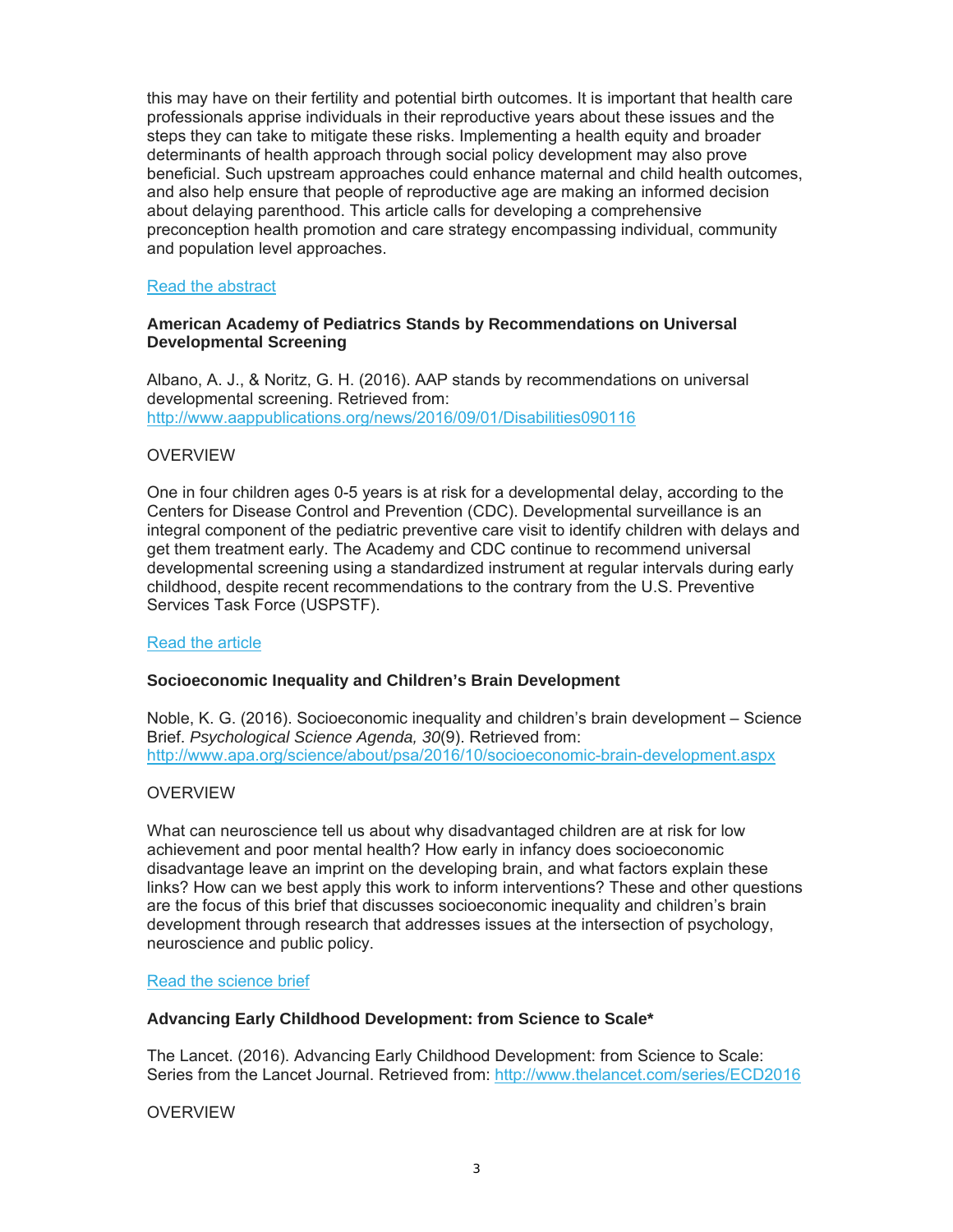this may have on their fertility and potential birth outcomes. It is important that health care professionals apprise individuals in their reproductive years about these issues and the steps they can take to mitigate these risks. Implementing a health equity and broader determinants of health approach through social policy development may also prove beneficial. Such upstream approaches could enhance maternal and child health outcomes, and also help ensure that people of reproductive age are making an informed decision about delaying parenthood. This article calls for developing a comprehensive preconception health promotion and care strategy encompassing individual, community and population level approaches.

#### Read the abstract

#### **American Academy of Pediatrics Stands by Recommendations on Universal Developmental Screening**

Albano, A. J., & Noritz, G. H. (2016). AAP stands by recommendations on universal developmental screening. Retrieved from: http://www.aappublications.org/news/2016/09/01/Disabilities090116

#### OVERVIEW

One in four children ages 0-5 years is at risk for a developmental delay, according to the Centers for Disease Control and Prevention (CDC). Developmental surveillance is an integral component of the pediatric preventive care visit to identify children with delays and get them treatment early. The Academy and CDC continue to recommend universal developmental screening using a standardized instrument at regular intervals during early childhood, despite recent recommendations to the contrary from the U.S. Preventive Services Task Force (USPSTF).

#### Read the article

#### **Socioeconomic Inequality and Children's Brain Development**

Noble, K. G. (2016). Socioeconomic inequality and children's brain development – Science Brief. *Psychological Science Agenda, 30*(9). Retrieved from: http://www.apa.org/science/about/psa/2016/10/socioeconomic-brain-development.aspx

#### OVERVIEW

What can neuroscience tell us about why disadvantaged children are at risk for low achievement and poor mental health? How early in infancy does socioeconomic disadvantage leave an imprint on the developing brain, and what factors explain these links? How can we best apply this work to inform interventions? These and other questions are the focus of this brief that discusses socioeconomic inequality and children's brain development through research that addresses issues at the intersection of psychology, neuroscience and public policy.

#### Read the science brief

#### **Advancing Early Childhood Development: from Science to Scale\***

The Lancet. (2016). Advancing Early Childhood Development: from Science to Scale: Series from the Lancet Journal. Retrieved from: http://www.thelancet.com/series/ECD2016

#### OVERVIEW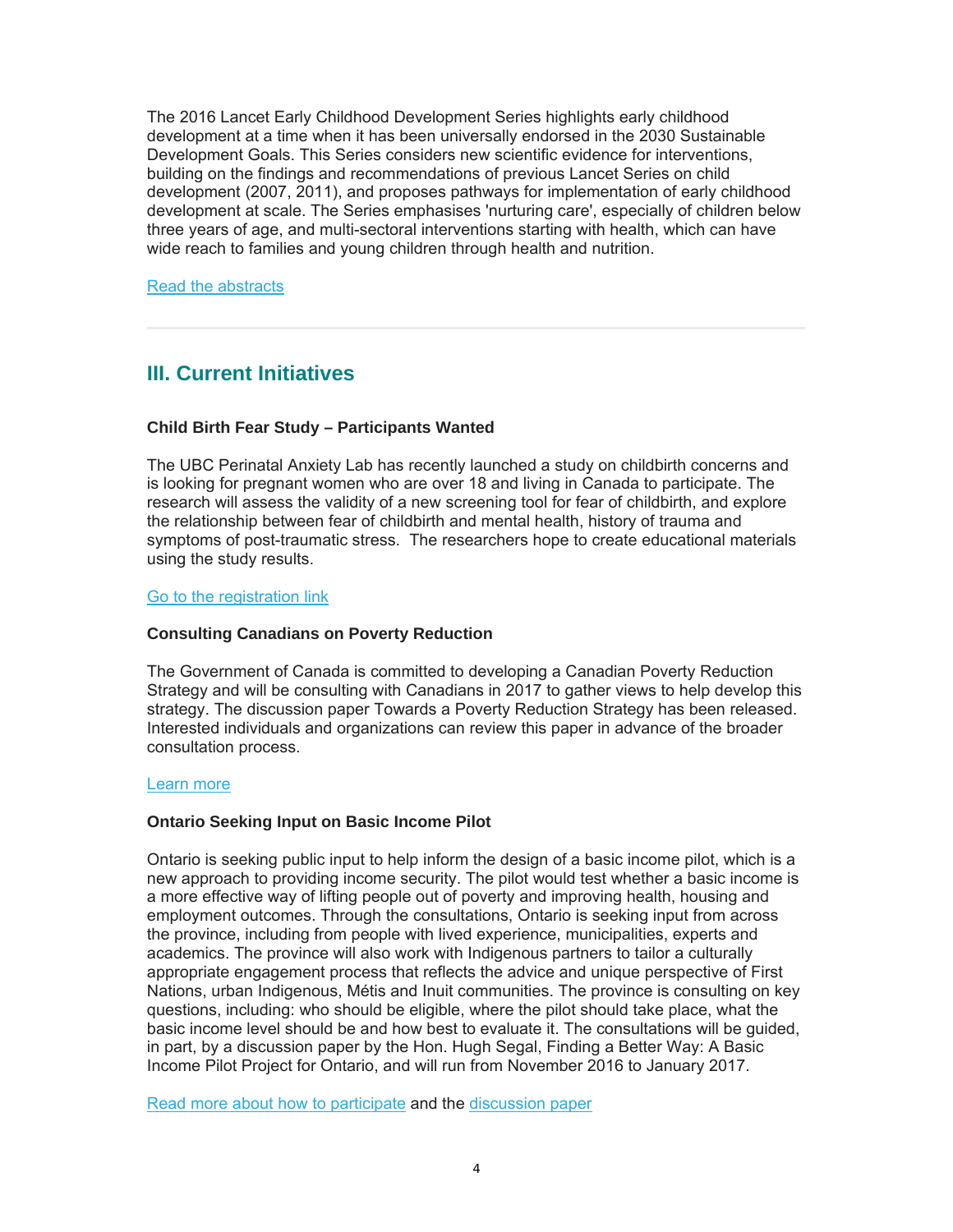The 2016 Lancet Early Childhood Development Series highlights early childhood development at a time when it has been universally endorsed in the 2030 Sustainable Development Goals. This Series considers new scientific evidence for interventions, building on the findings and recommendations of previous Lancet Series on child development (2007, 2011), and proposes pathways for implementation of early childhood development at scale. The Series emphasises 'nurturing care', especially of children below three years of age, and multi-sectoral interventions starting with health, which can have wide reach to families and young children through health and nutrition.

Read the abstracts

# **III. Current Initiatives**

#### **Child Birth Fear Study – Participants Wanted**

The UBC Perinatal Anxiety Lab has recently launched a study on childbirth concerns and is looking for pregnant women who are over 18 and living in Canada to participate. The research will assess the validity of a new screening tool for fear of childbirth, and explore the relationship between fear of childbirth and mental health, history of trauma and symptoms of post-traumatic stress. The researchers hope to create educational materials using the study results.

#### Go to the registration link

#### **Consulting Canadians on Poverty Reduction**

The Government of Canada is committed to developing a Canadian Poverty Reduction Strategy and will be consulting with Canadians in 2017 to gather views to help develop this strategy. The discussion paper Towards a Poverty Reduction Strategy has been released. Interested individuals and organizations can review this paper in advance of the broader consultation process.

#### Learn more

#### **Ontario Seeking Input on Basic Income Pilot**

Ontario is seeking public input to help inform the design of a basic income pilot, which is a new approach to providing income security. The pilot would test whether a basic income is a more effective way of lifting people out of poverty and improving health, housing and employment outcomes. Through the consultations, Ontario is seeking input from across the province, including from people with lived experience, municipalities, experts and academics. The province will also work with Indigenous partners to tailor a culturally appropriate engagement process that reflects the advice and unique perspective of First Nations, urban Indigenous, Métis and Inuit communities. The province is consulting on key questions, including: who should be eligible, where the pilot should take place, what the basic income level should be and how best to evaluate it. The consultations will be guided, in part, by a discussion paper by the Hon. Hugh Segal, Finding a Better Way: A Basic Income Pilot Project for Ontario, and will run from November 2016 to January 2017.

Read more about how to participate and the discussion paper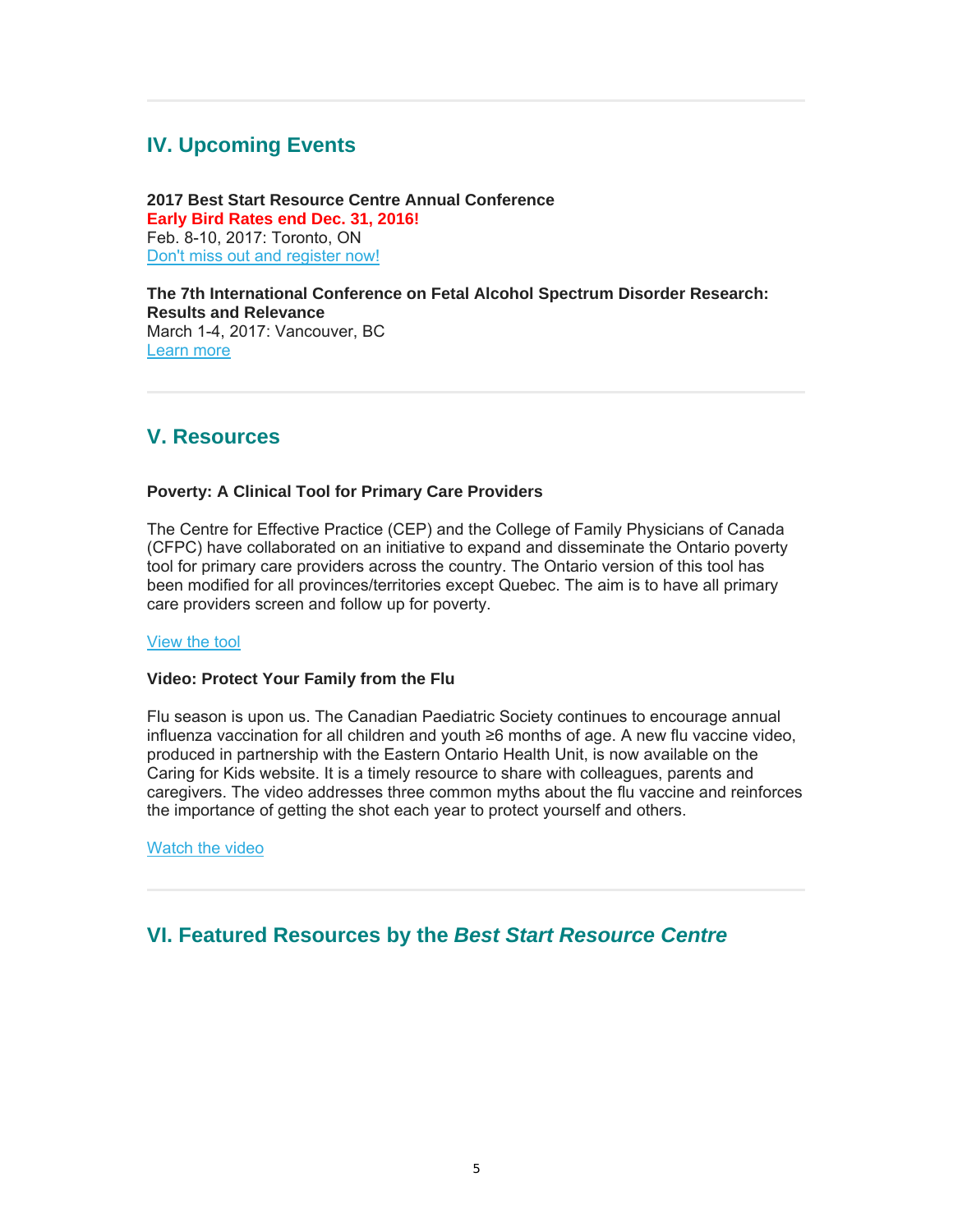# **IV. Upcoming Events**

**2017 Best Start Resource Centre Annual Conference Early Bird Rates end Dec. 31, 2016!** Feb. 8-10, 2017: Toronto, ON Don't miss out and register now!

**The 7th International Conference on Fetal Alcohol Spectrum Disorder Research: Results and Relevance** March 1-4, 2017: Vancouver, BC Learn more

### **V. Resources**

#### **Poverty: A Clinical Tool for Primary Care Providers**

The Centre for Effective Practice (CEP) and the College of Family Physicians of Canada (CFPC) have collaborated on an initiative to expand and disseminate the Ontario poverty tool for primary care providers across the country. The Ontario version of this tool has been modified for all provinces/territories except Quebec. The aim is to have all primary care providers screen and follow up for poverty.

#### View the tool

#### **Video: Protect Your Family from the Flu**

Flu season is upon us. The Canadian Paediatric Society continues to encourage annual influenza vaccination for all children and youth ≥6 months of age. A new flu vaccine video, produced in partnership with the Eastern Ontario Health Unit, is now available on the Caring for Kids website. It is a timely resource to share with colleagues, parents and caregivers. The video addresses three common myths about the flu vaccine and reinforces the importance of getting the shot each year to protect yourself and others.

Watch the video

## **VI. Featured Resources by the** *Best Start Resource Centre*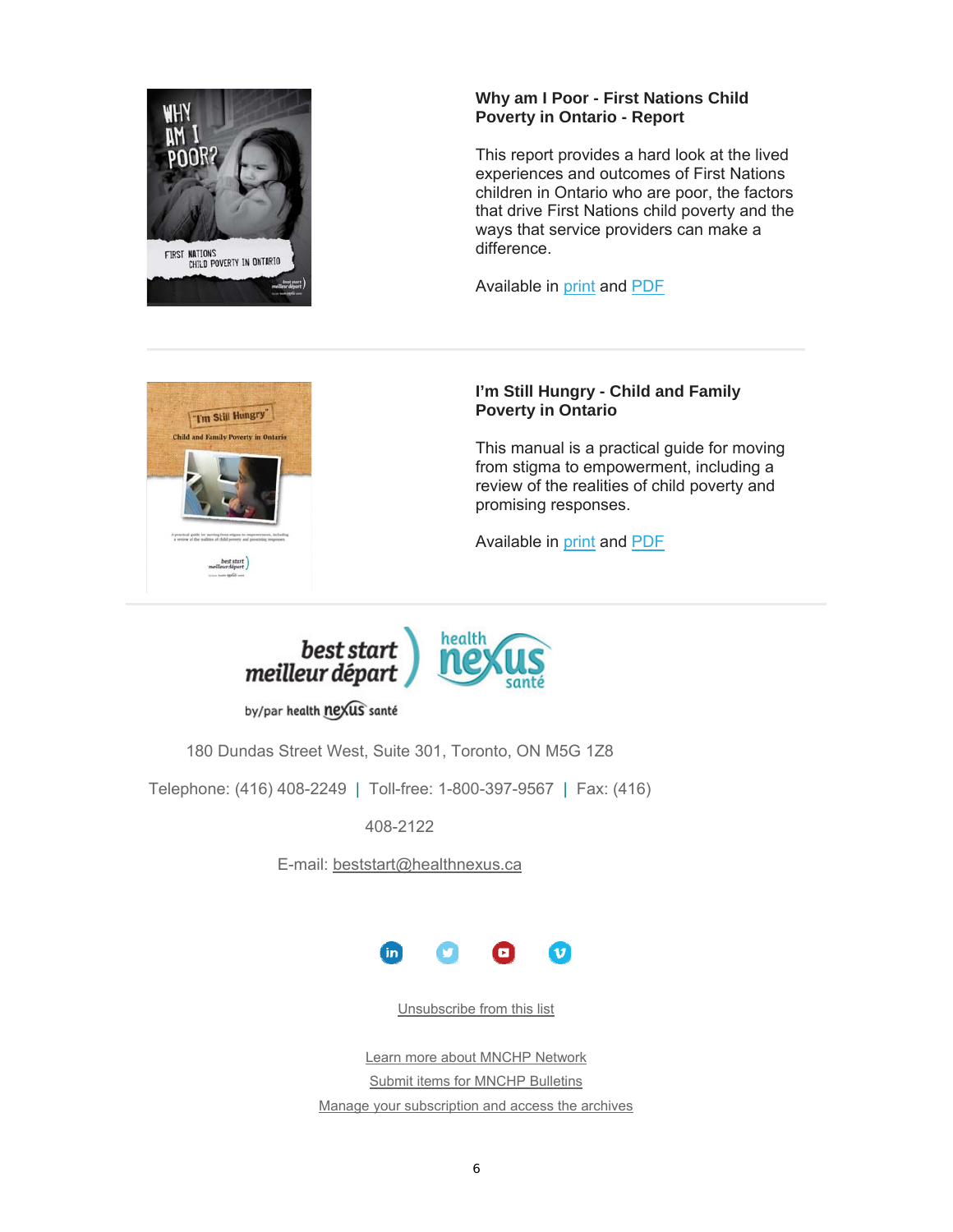

#### **Why am I Poor - First Nations Child Poverty in Ontario - Report**

This report provides a hard look at the lived experiences and outcomes of First Nations children in Ontario who are poor, the factors that drive First Nations child poverty and the ways that service providers can make a difference.

Available in print and PDF



#### **I'm Still Hungry - Child and Family Poverty in Ontario**

This manual is a practical guide for moving from stigma to empowerment, including a review of the realities of child poverty and promising responses.

Available in print and PDF



by/par health nexus santé

180 Dundas Street West, Suite 301, Toronto, ON M5G 1Z8

Telephone: (416) 408-2249 | Toll-free: 1-800-397-9567 | Fax: (416)

408-2122

E-mail: beststart@healthnexus.ca



Unsubscribe from this list

Learn more about MNCHP Network Submit items for MNCHP Bulletins Manage your subscription and access the archives